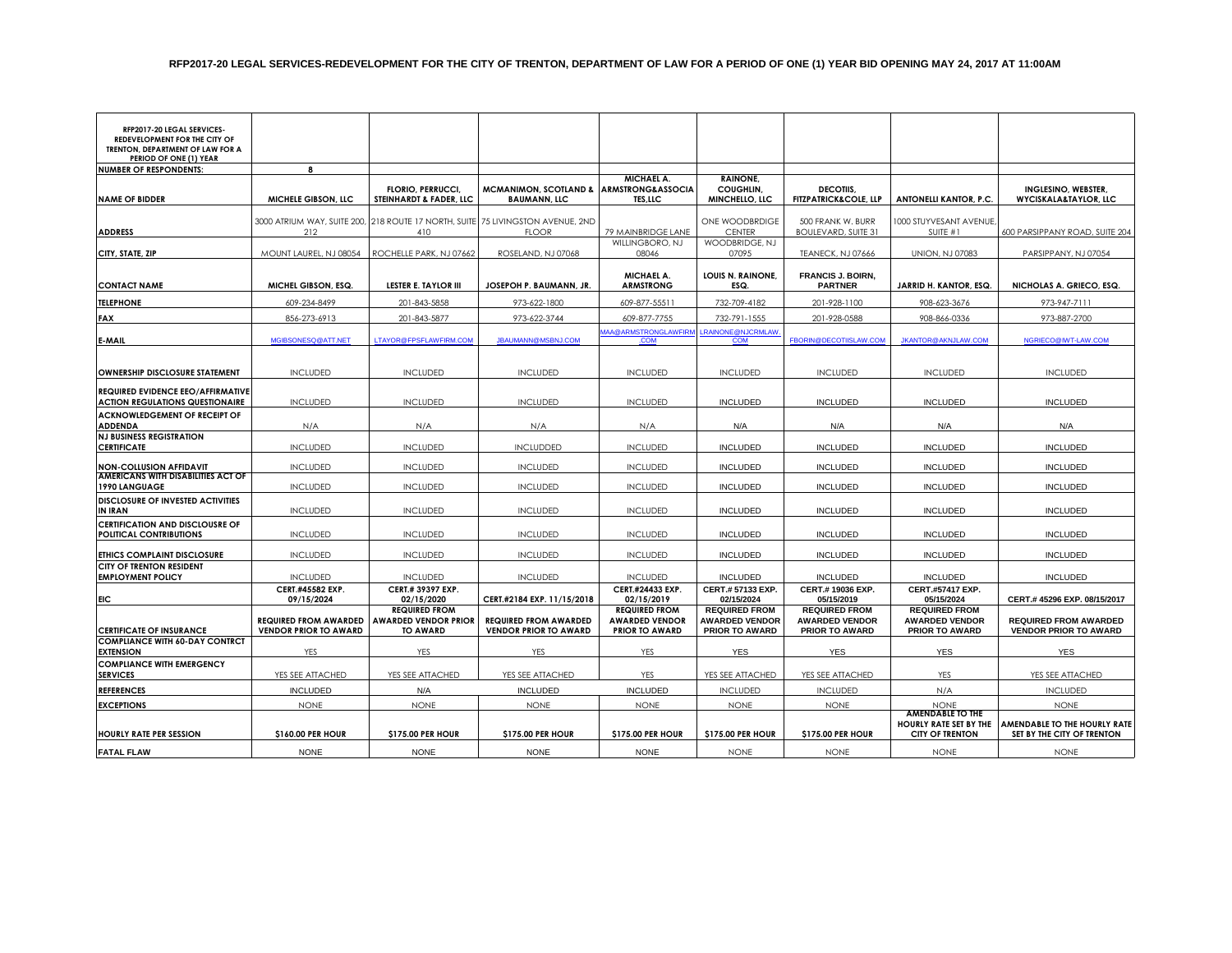| RFP2017-20 LEGAL SERVICES-<br>REDEVELOPMENT FOR THE CITY OF<br>TRENTON, DEPARTMENT OF LAW FOR A |                                |                                                     |                                                                                                 |                                                              |                                                |                                                 |                                                         |                                                            |
|-------------------------------------------------------------------------------------------------|--------------------------------|-----------------------------------------------------|-------------------------------------------------------------------------------------------------|--------------------------------------------------------------|------------------------------------------------|-------------------------------------------------|---------------------------------------------------------|------------------------------------------------------------|
| PERIOD OF ONE (1) YEAR<br><b>NUMBER OF RESPONDENTS:</b>                                         | 8                              |                                                     |                                                                                                 |                                                              |                                                |                                                 |                                                         |                                                            |
| <b>NAME OF BIDDER</b>                                                                           | MICHELE GIBSON, LLC            | <b>FLORIO, PERRUCCI,</b><br>STEINHARDT & FADER, LLC | <b>MCMANIMON, SCOTLAND &amp;</b><br><b>BAUMANN, LLC</b>                                         | MICHAEL A.<br><b>ARMSTRONG&amp;ASSOCIA</b><br><b>TES,LLC</b> | <b>RAINONE,</b><br>COUGHLIN,<br>MINCHELLO, LLC | DECOTIIS.<br><b>FITZPATRICK&amp;COLE, LLP</b>   | <b>ANTONELLI KANTOR, P.C.</b>                           | INGLESINO, WEBSTER,<br><b>WYCISKALA&amp;TAYLOR, LLC</b>    |
|                                                                                                 |                                |                                                     |                                                                                                 |                                                              |                                                |                                                 |                                                         |                                                            |
| <b>ADDRESS</b>                                                                                  | 212                            | 410                                                 | 3000 ATRIUM WAY, SUITE 200, 218 ROUTE 17 NORTH, SUITE 75 LIVINGSTON AVENUE, 2ND<br><b>FLOOR</b> | 79 MAINBRIDGE LANE                                           | ONE WOODBRDIGE<br><b>CENTER</b>                | 500 FRANK W. BURR<br><b>BOULEVARD, SUITE 31</b> | 1000 STUYVESANT AVENUE,<br>SUITE #1                     | 600 PARSIPPANY ROAD, SUITE 204                             |
| CITY, STATE, ZIP                                                                                | MOUNT LAUREL, NJ 08054         | ROCHELLE PARK, NJ 07662                             | ROSELAND, NJ 07068                                                                              | WILLINGBORO, NJ<br>08046                                     | WOODBRIDGE, NJ<br>07095                        | <b>TEANECK, NJ 07666</b>                        | <b>UNION, NJ 07083</b>                                  | PARSIPPANY, NJ 07054                                       |
|                                                                                                 |                                |                                                     |                                                                                                 |                                                              |                                                |                                                 |                                                         |                                                            |
| <b>CONTACT NAME</b>                                                                             | MICHEL GIBSON, ESQ.            | <b>LESTER E. TAYLOR III</b>                         | JOSEPOH P. BAUMANN, JR.                                                                         | <b>MICHAEL A.</b><br><b>ARMSTRONG</b>                        | <b>LOUIS N. RAINONE,</b><br>ESQ.               | <b>FRANCIS J. BOIRN,</b><br><b>PARTNER</b>      | JARRID H. KANTOR, ESQ.                                  | NICHOLAS A. GRIECO, ESQ.                                   |
| <b>TELEPHONE</b>                                                                                | 609-234-8499                   | 201-843-5858                                        | 973-622-1800                                                                                    | 609-877-55511                                                | 732-709-4182                                   | 201-928-1100                                    | 908-623-3676                                            | 973-947-7111                                               |
| <b>FAX</b>                                                                                      | 856-273-6913                   | 201-843-5877                                        | 973-622-3744                                                                                    | 609-877-7755                                                 | 732-791-1555                                   | 201-928-0588<br>908-866-0336                    |                                                         | 973-887-2700                                               |
| E-MAIL                                                                                          | MGIBSONESQ@ATT.NET             | LTAYOR@FPSFLAWFIRM.COM                              | JBAUMANN@MSBNJ.COM                                                                              | <b>AAA@ARMSTRONGLAWFIRM</b><br>.COM                          | <b>LRAINONE@NJCRMLAW</b><br><b>COM</b>         | <b>FBORIN@DECOTIISLAW.COM</b>                   | <b>JKANTOR@AKNJLAW.COM</b>                              | NGRIECO@IWT-LAW.COM                                        |
| OWNERSHIP DISCLOSURE STATEMENT                                                                  | <b>INCLUDED</b>                | <b>INCLUDED</b>                                     | <b>INCLUDED</b>                                                                                 | <b>INCLUDED</b>                                              | <b>INCLUDED</b>                                | <b>INCLUDED</b>                                 | <b>INCLUDED</b>                                         | <b>INCLUDED</b>                                            |
| <b>REQUIRED EVIDENCE EEO/AFFIRMATIVE</b><br><b>ACTION REGULATIONS QUESTIONAIRE</b>              | <b>INCLUDED</b>                | <b>INCLUDED</b>                                     | <b>INCLUDED</b>                                                                                 | <b>INCLUDED</b>                                              | <b>INCLUDED</b>                                | <b>INCLUDED</b>                                 | <b>INCLUDED</b>                                         | <b>INCLUDED</b>                                            |
| <b>ACKNOWLEDGEMENT OF RECEIPT OF</b><br><b>ADDENDA</b>                                          | N/A                            | N/A                                                 | N/A                                                                                             | N/A                                                          | N/A                                            | N/A                                             | N/A                                                     | N/A                                                        |
| <b>NJ BUSINESS REGISTRATION</b><br><b>CERTIFICATE</b>                                           | <b>INCLUDED</b>                | <b>INCLUDED</b>                                     | <b>INCLUDDED</b>                                                                                | <b>INCLUDED</b>                                              | <b>INCLUDED</b>                                | <b>INCLUDED</b>                                 | <b>INCLUDED</b>                                         | <b>INCLUDED</b>                                            |
| <b>NON-COLLUSION AFFIDAVIT</b>                                                                  | <b>INCLUDED</b>                | <b>INCLUDED</b>                                     | <b>INCLUDED</b>                                                                                 | <b>INCLUDED</b>                                              | <b>INCLUDED</b>                                | <b>INCLUDED</b>                                 | <b>INCLUDED</b>                                         | <b>INCLUDED</b>                                            |
| AMERICANS WITH DISABILITIES ACT OF<br>1990 LANGUAGE                                             | <b>INCLUDED</b>                | <b>INCLUDED</b>                                     | <b>INCLUDED</b>                                                                                 | <b>INCLUDED</b>                                              | <b>INCLUDED</b>                                | <b>INCLUDED</b>                                 | <b>INCLUDED</b>                                         | <b>INCLUDED</b>                                            |
| DISCLOSURE OF INVESTED ACTIVITIES<br><b>IN IRAN</b>                                             | <b>INCLUDED</b>                | <b>INCLUDED</b>                                     | <b>INCLUDED</b>                                                                                 | <b>INCLUDED</b>                                              | <b>INCLUDED</b>                                | <b>INCLUDED</b>                                 | <b>INCLUDED</b>                                         | <b>INCLUDED</b>                                            |
| <b>CERTIFICATION AND DISCLOUSRE OF</b><br>POLITICAL CONTRIBUTIONS                               | <b>INCLUDED</b>                | <b>INCLUDED</b>                                     | <b>INCLUDED</b>                                                                                 | <b>INCLUDED</b>                                              | <b>INCLUDED</b>                                | <b>INCLUDED</b>                                 | <b>INCLUDED</b>                                         | <b>INCLUDED</b>                                            |
|                                                                                                 |                                |                                                     |                                                                                                 |                                                              |                                                |                                                 |                                                         |                                                            |
| ETHICS COMPLAINT DISCLOSURE                                                                     | <b>INCLUDED</b>                | <b>INCLUDED</b>                                     | <b>INCLUDED</b>                                                                                 | <b>INCLUDED</b>                                              | <b>INCLUDED</b>                                | <b>INCLUDED</b>                                 | <b>INCLUDED</b>                                         | <b>INCLUDED</b>                                            |
| <b>CITY OF TRENTON RESIDENT</b><br><b>EMPLOYMENT POLICY</b>                                     | <b>INCLUDED</b>                | <b>INCLUDED</b>                                     | <b>INCLUDED</b>                                                                                 | <b>INCLUDED</b>                                              | <b>INCLUDED</b>                                | <b>INCLUDED</b>                                 | <b>INCLUDED</b>                                         | <b>INCLUDED</b>                                            |
| <b>EIC</b>                                                                                      | CERT.#45582 EXP.<br>09/15/2024 | CERT.# 39397 EXP.<br>02/15/2020                     | CERT.#2184 EXP. 11/15/2018                                                                      | CERT.#24433 EXP.<br>02/15/2019                               | CERT.# 57133 EXP.<br>02/15/2024                | CERT.#19036 EXP.<br>05/15/2019                  | <b>CERT.#57417 EXP.</b><br>05/15/2024                   | CERT.# 45296 EXP. 08/15/2017                               |
|                                                                                                 | <b>REQUIRED FROM AWARDED</b>   | <b>REQUIRED FROM</b><br><b>AWARDED VENDOR PRIOR</b> | <b>REQUIRED FROM AWARDED</b>                                                                    | <b>REQUIRED FROM</b><br><b>AWARDED VENDOR</b>                | <b>REQUIRED FROM</b><br><b>AWARDED VENDOR</b>  | <b>REQUIRED FROM</b><br><b>AWARDED VENDOR</b>   | <b>REQUIRED FROM</b><br><b>AWARDED VENDOR</b>           | <b>REQUIRED FROM AWARDED</b>                               |
| <b>CERTIFICATE OF INSURANCE</b>                                                                 | <b>VENDOR PRIOR TO AWARD</b>   | <b>TO AWARD</b>                                     | <b>VENDOR PRIOR TO AWARD</b>                                                                    | <b>PRIOR TO AWARD</b>                                        | <b>PRIOR TO AWARD</b>                          | <b>PRIOR TO AWARD</b>                           | <b>PRIOR TO AWARD</b>                                   | <b>VENDOR PRIOR TO AWARD</b>                               |
| <b>COMPLIANCE WITH 60-DAY CONTRCT</b><br><b>EXTENSION</b>                                       | <b>YES</b>                     | <b>YES</b>                                          | <b>YES</b>                                                                                      | YES                                                          | <b>YES</b>                                     | <b>YES</b>                                      | <b>YES</b>                                              | <b>YES</b>                                                 |
| <b>COMPLIANCE WITH EMERGENCY</b>                                                                |                                |                                                     |                                                                                                 |                                                              |                                                |                                                 |                                                         |                                                            |
| <b>SERVICES</b>                                                                                 | YES SEE ATTACHED               | YES SEE ATTACHED                                    | YES SEE ATTACHED                                                                                | <b>YES</b>                                                   | YES SEE ATTACHED                               | YES SEE ATTACHED                                | <b>YES</b>                                              | YES SEE ATTACHED                                           |
| <b>REFERENCES</b>                                                                               | <b>INCLUDED</b>                | N/A                                                 | <b>INCLUDED</b>                                                                                 | <b>INCLUDED</b>                                              | <b>INCLUDED</b>                                | <b>INCLUDED</b>                                 | N/A                                                     | <b>INCLUDED</b>                                            |
| <b>EXCEPTIONS</b>                                                                               | <b>NONE</b>                    | <b>NONE</b>                                         | <b>NONE</b>                                                                                     | <b>NONE</b>                                                  | <b>NONE</b>                                    | <b>NONE</b>                                     | <b>NONE</b><br>AMENDABLE TO THE                         | <b>NONE</b>                                                |
| <b>HOURLY RATE PER SESSION</b>                                                                  | \$160.00 PER HOUR              | \$175.00 PER HOUR                                   | \$175.00 PER HOUR                                                                               | \$175.00 PER HOUR                                            | \$175.00 PER HOUR                              | \$175.00 PER HOUR                               | <b>HOURLY RATE SET BY THE</b><br><b>CITY OF TRENTON</b> | AMENDABLE TO THE HOURLY RATE<br>SET BY THE CITY OF TRENTON |
| <b>FATAL FLAW</b>                                                                               | <b>NONE</b>                    | <b>NONE</b>                                         | <b>NONE</b>                                                                                     | <b>NONE</b>                                                  | <b>NONE</b>                                    | <b>NONE</b>                                     | <b>NONE</b>                                             | <b>NONE</b>                                                |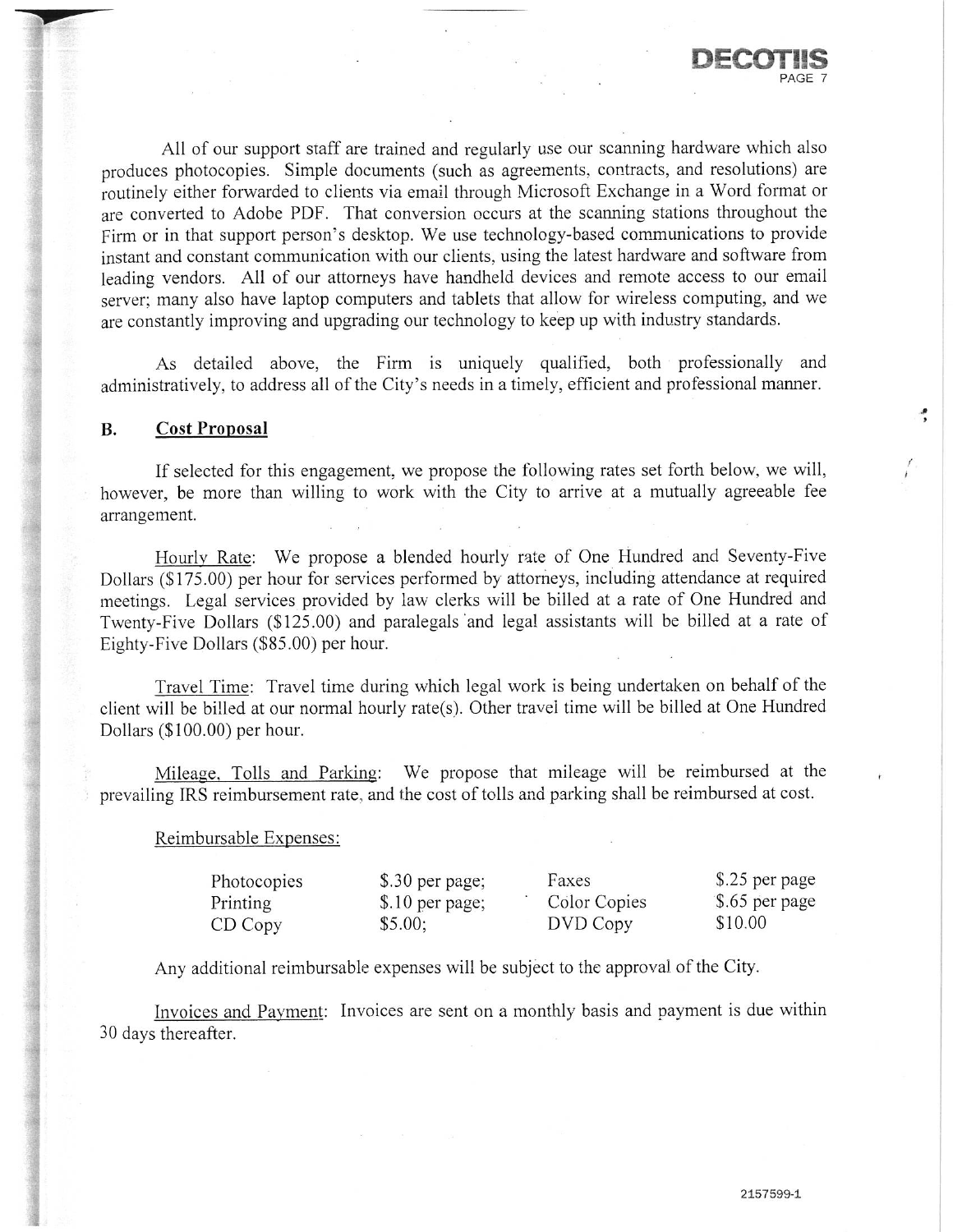

ڋ

All of our support staff are trained and regularly use our scanning hardware which also produces photocopies. Simple documents (such as agreements, contracts, and resolutions) are routinely either forwarded to clients via email through Microsoft Exchange in a Word format or are converted to Adobe PDF. That conversion occurs at the scanning stations throughout the Firm or in that support person's desktop. We use technology-based communications to provide instant and constant communication with our clients, using the latest hardware and software from leading vendors. All of our attorneys have handheld devices and remote access to our email server; many also have laptop computers and tablets that allow for wireless computing, and we are constantly improving and upgrading our technology to keep up with industry standards.

As detailed above, the Firm is uniquely qualified, both professionally and administratively, to address all of the City's needs in a timely, efficient and professional manner.

## **B. Cost Proposal**

If selected for this engagement, we propose the following rates set forth below, we will, however, be more than willing to work with the City to arrive at a mutually agreeable fee arrangement.

Hourly Rate: We propose a blended hourly rate of One Hundred and Seventy-Five Dollars (\$175.00) per hour for services performed by attorneys, including attendance at required meetings. Legal services provided by law clerks will be billed at a rate of One Hundred and Twenty-Five Dollars (\$125.00) and paralegals and legal assistants will be billed at a rate of Eighty-Five Dollars (\$85.00) per hour.

Travel Time: Travel time during which legal work is being undertaken on behalf of the client will be billed at our normal hourly rate(s). Other travel time will be billed at One Hundred Dollars (\$100.00) per hour.

Mileage, Tolls and Parking: We propose that mileage will be reimbursed at the prevailing IRS reimbursement rate, and the cost of tolls and parking shall be reimbursed at cost.

Reimbursable Expenses:

| Photocopies | \$.30 per page;  | Faxes        | \$.25 per page |
|-------------|------------------|--------------|----------------|
| Printing    | $$.10$ per page; | Color Copies | \$.65 per page |
| CD Copy     | \$5.00;          | DVD Copy     | \$10.00        |

Any additional reimbursable expenses will be subject to the approval of the City.

Invoices and Payment: Invoices are sent on a monthly basis and payment is due within 30 days thereafter.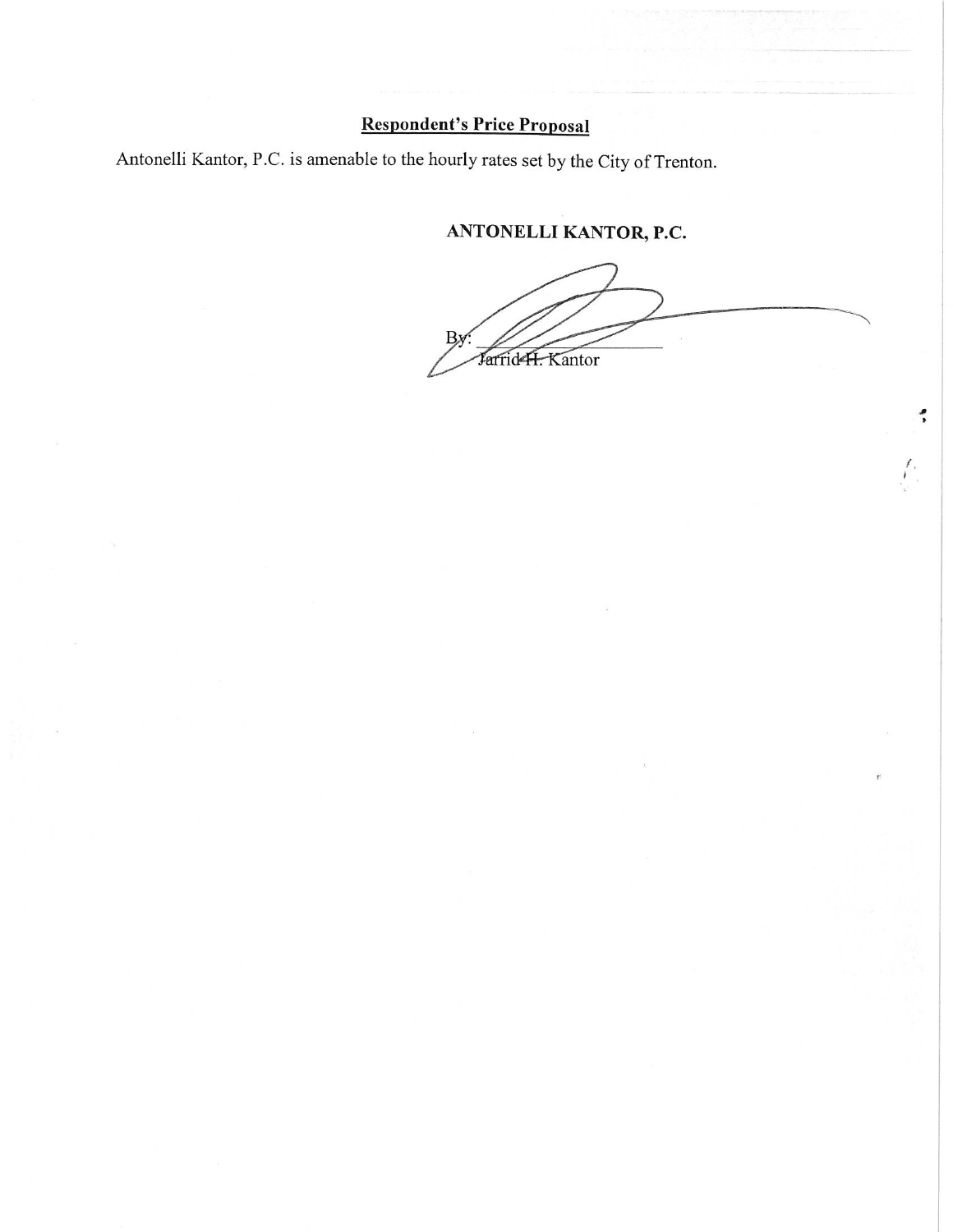## **Respondent's Price Proposal**

Antonelli Kantor, P.C. is amenable to the hourly rates set by the City of Trenton.

ANTONELLI KANTOR, P.C.

Jarrid-H. Kantor

٠,